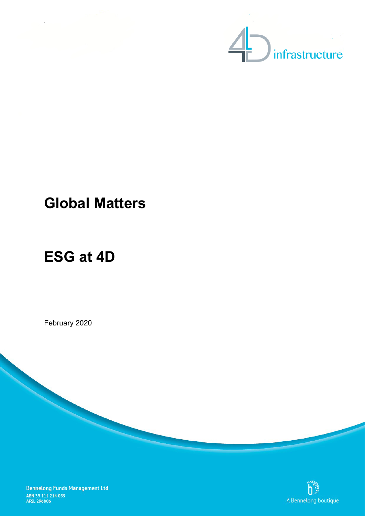

## **Global Matters**

# **ESG at 4D**

`

February 2020



**Bennelong Funds Management Ltd** ABN 39 111 214 085<br>AFSL 296806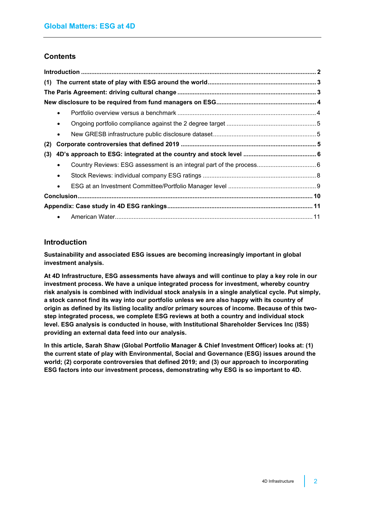## **Contents**

|     | $\bullet$ |  |
|-----|-----------|--|
|     | $\bullet$ |  |
|     | $\bullet$ |  |
| (2) |           |  |
| (3) |           |  |
|     | $\bullet$ |  |
|     | $\bullet$ |  |
|     | $\bullet$ |  |
|     |           |  |
|     |           |  |
|     |           |  |

## <span id="page-1-0"></span>**Introduction**

**Sustainability and associated ESG issues are becoming increasingly important in global investment analysis.**

**At 4D Infrastructure, ESG assessments have always and will continue to play a key role in our investment process. We have a unique integrated process for investment, whereby country risk analysis is combined with individual stock analysis in a single analytical cycle. Put simply, a stock cannot find its way into our portfolio unless we are also happy with its country of origin as defined by its listing locality and/or primary sources of income. Because of this twostep integrated process, we complete ESG reviews at both a country and individual stock level. ESG analysis is conducted in house, with Institutional Shareholder Services Inc (ISS) providing an external data feed into our analysis.**

**In this article, Sarah Shaw (Global Portfolio Manager & Chief Investment Officer) looks at: (1) the current state of play with Environmental, Social and Governance (ESG) issues around the world; (2) corporate controversies that defined 2019; and (3) our approach to incorporating ESG factors into our investment process, demonstrating why ESG is so important to 4D.**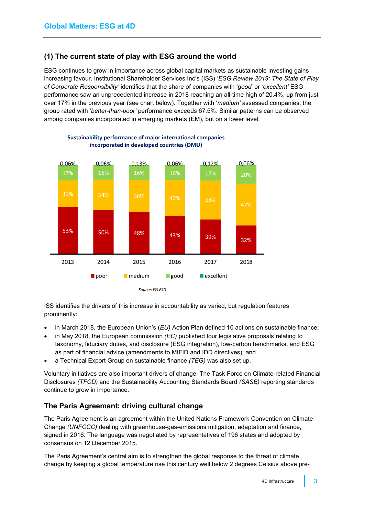## <span id="page-2-0"></span>**(1) The current state of play with ESG around the world**

ESG continues to grow in importance across global capital markets as sustainable investing gains increasing favour. Institutional Shareholder Services Inc's (ISS) '*ESG Review 2019: The State of Play of Corporate Responsibility'* identifies that the share of companies with '*good*' or *'excellent'* ESG performance saw an unprecedented increase in 2018 reaching an all-time high of 20.4%, up from just over 17% in the previous year (see chart below). Together with '*medium'* assessed companies, the group rated with '*better-than-poor'* performance exceeds 67.5%. Similar patterns can be observed among companies incorporated in emerging markets (EM), but on a lower level.



#### Sustainability performance of major international companies incorporated in developed countries (DMU)

ISS identifies the drivers of this increase in accountability as varied, but regulation features prominently:

- in March 2018, the European Union's (*EU)* Action Plan defined 10 actions on sustainable finance;
- in May 2018, the European commission *(EC)* published four legislative proposals relating to taxonomy, fiduciary duties, and disclosure (ESG integration), low-carbon benchmarks, and ESG as part of financial advice (amendments to MIFID and IDD directives); and
- a Technical Export Group on sustainable finance *(TEG)* was also set up.

Voluntary initiatives are also important drivers of change. The Task Force on Climate-related Financial Disclosures *(TFCD)* and the Sustainability Accounting Standards Board *(SASB)* reporting standards continue to grow in importance.

## <span id="page-2-1"></span>**The Paris Agreement: driving cultural change**

The Paris Agreement is an agreement within the [United Nations Framework Convention on Climate](https://en.wikipedia.org/wiki/United_Nations_Framework_Convention_on_Climate_Change)  [Change](https://en.wikipedia.org/wiki/United_Nations_Framework_Convention_on_Climate_Change) *(UNFCCC)* dealing with [greenhouse-gas-emissions mitigation,](https://en.wikipedia.org/wiki/Climate_change_mitigation) [adaptation](https://en.wikipedia.org/wiki/Climate_change_adaptation) and [finance,](https://en.wikipedia.org/wiki/Finance) signed in 2016. The language was negotiated by representatives of 196 states and adopted by consensus on 12 December 2015.

The Paris Agreement's central aim is to strengthen the global response to the threat of climate change by keeping a global temperature rise this century well below 2 degrees Celsius above pre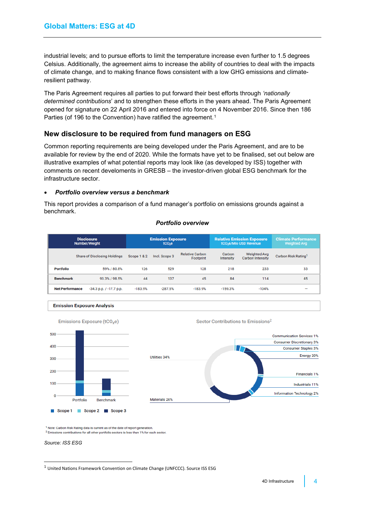industrial levels; and to pursue efforts to limit the temperature increase even further to 1.5 degrees Celsius. Additionally, the agreement aims to increase the ability of countries to deal with the impacts of climate change, and to making finance flows consistent with a low GHG emissions and climateresilient pathway.

The Paris Agreement requires all parties to put forward their best efforts through *'nationally determined contributions*' and to strengthen these efforts in the years ahead. The Paris Agreement opened for signature on 22 April 2016 and entered into force on 4 November 2016. Since then 186 Parties (of [1](#page-3-2)96 to the Convention) have ratified the agreement.<sup>1</sup>

### <span id="page-3-0"></span>**New disclosure to be required from fund managers on ESG**

Common reporting requirements are being developed under the Paris Agreement, and are to be available for review by the end of 2020. While the formats have yet to be finalised, set out below are illustrative examples of what potential reports may look like (as developed by ISS) together with comments on recent develoments in GRESB – the investor-driven global ESG benchmark for the infrastructure sector.

#### <span id="page-3-1"></span>• *Portfolio overview versus a benchmark*

This report provides a comparison of a fund manager's portfolio on emissions grounds against a benchmark.

#### *Portfolio overview*

|                        | <b>Disclosure</b><br>Number/Weight  | <b>Emission Exposure</b><br>$tCO2$ e |               |                                     |                     | <b>Relative Emission Exposure</b><br>tCO <sub>2</sub> e/Mio USD Revenue | <b>Climate Performance</b><br><b>Weighted Avg</b> |  |
|------------------------|-------------------------------------|--------------------------------------|---------------|-------------------------------------|---------------------|-------------------------------------------------------------------------|---------------------------------------------------|--|
|                        | <b>Share of Disclosing Holdings</b> |                                      | Incl. Scope 3 | <b>Relative Carbon</b><br>Footprint | Carbon<br>Intensity | <b>Weighted Avg</b><br><b>Carbon Intensity</b>                          | Carbon Risk Rating <sup>1</sup>                   |  |
| <b>Portfolio</b>       | 59% / 80.8%                         | 126                                  | 529           | 128                                 | 218                 | 233                                                                     | 33                                                |  |
| <b>Benchmark</b>       | 93.3% / 98.5%                       | 44                                   | 137           | 45                                  | 84                  | 114                                                                     | 45                                                |  |
| <b>Net Performance</b> | $-34.3$ p.p. $/ -17.7$ p.p.         | $-183.9%$                            | $-287.5%$     | $-183.9%$                           | $-159.3%$           | $-104%$                                                                 | $\overline{\phantom{a}}$                          |  |





Emissions Exposure (tCO<sub>2</sub>e)

<sup>1</sup> Note: Carbon Risk Rating data is current as of the date of report generation <sup>2</sup> Emissions contributions for all other portfolio sectors is less than 1% for each sector

*Source: ISS ESG*

<span id="page-3-2"></span><sup>1</sup> United Nations Framework Convention on Climate Change (UNFCCC). Source ISS ESG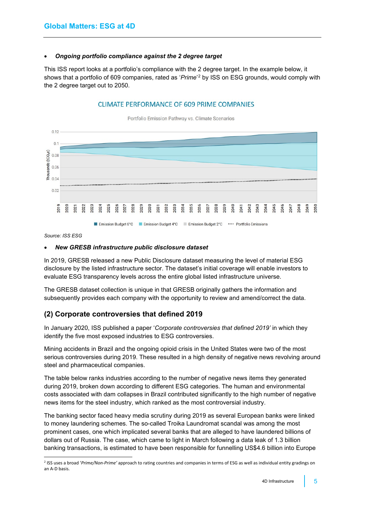#### <span id="page-4-0"></span>• *Ongoing portfolio compliance against the 2 degree target*

This ISS report looks at a portfolio's compliance with the 2 degree target. In the example below, it shows that a portfolio of 609 companies, rated as '*Prime*' [2](#page-4-3) by ISS on ESG grounds, would comply with the 2 degree target out to 2050.

#### **CLIMATE PERFORMANCE OF 609 PRIME COMPANIES**



*Source: ISS ESG*

#### <span id="page-4-1"></span>• *New GRESB infrastructure public disclosure dataset*

In 2019, GRESB released a new Public Disclosure dataset measuring the level of material ESG disclosure by the listed infrastructure sector. The dataset's initial coverage will enable investors to evaluate ESG transparency levels across the entire global listed infrastructure universe.

The GRESB dataset collection is unique in that GRESB originally gathers the information and subsequently provides each company with the opportunity to review and amend/correct the data.

## <span id="page-4-2"></span>**(2) Corporate controversies that defined 2019**

In January 2020, ISS published a paper '*Corporate controversies that defined 2019'* in which they identify the five most exposed industries to ESG controversies.

Mining accidents in Brazil and the ongoing opioid crisis in the United States were two of the most serious controversies during 2019. These resulted in a high density of negative news revolving around steel and pharmaceutical companies.

The table below ranks industries according to the number of negative news items they generated during 2019, broken down according to different ESG categories. The human and environmental costs associated with dam collapses in Brazil contributed significantly to the high number of negative news items for the steel industry, which ranked as the most controversial industry.

The banking sector faced heavy media scrutiny during 2019 as several European banks were linked to money laundering schemes. The so-called Troika Laundromat scandal was among the most prominent cases, one which implicated several banks that are alleged to have laundered billions of dollars out of Russia. The case, which came to light in March following a data leak of 1.3 billion banking transactions, is estimated to have been responsible for funnelling US\$4.6 billion into Europe

<span id="page-4-3"></span><sup>2</sup> ISS uses a broad '*Prime/Non-Prime'* approach to rating countries and companies in terms of ESG as well as individual entity gradings on an A-D basis.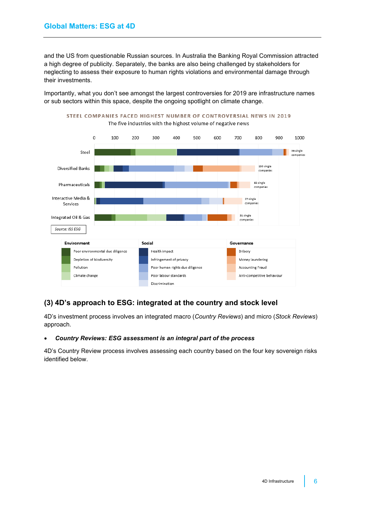and the US from questionable Russian sources. In Australia the Banking Royal Commission attracted a high degree of publicity. Separately, the banks are also being challenged by stakeholders for neglecting to assess their exposure to human rights violations and environmental damage through their investments.

Importantly, what you don't see amongst the largest controversies for 2019 are infrastructure names or sub sectors within this space, despite the ongoing spotlight on climate change.



## <span id="page-5-0"></span>**(3) 4D's approach to ESG: integrated at the country and stock level**

4D's investment process involves an integrated macro (*Country Reviews*) and micro (*Stock Reviews*) approach.

#### <span id="page-5-1"></span>• *Country Reviews: ESG assessment is an integral part of the process*

4D's Country Review process involves assessing each country based on the four key sovereign risks identified below.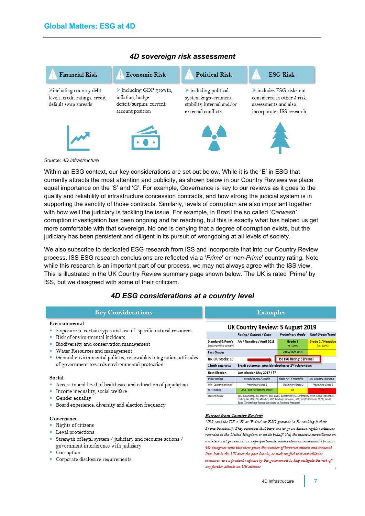

### *4D sovereign risk assessment*

#### *Source: 4D Infrastructure*

Within an ESG context, our key considerations are set out below. While it is the 'E' in ESG that currently attracts the most attention and publicity, as shown below in our Country Reviews we place equal importance on the 'S' and 'G'. For example, Governance is key to our reviews as it goes to the quality and reliability of infrastructure concession contracts, and how strong the judicial system is in supporting the sanctity of those contracts. Similarly, levels of corruption are also important together with how well the judiciary is tackling the issue. For example, in Brazil the so called *'Carwash'* corruption investigation has been ongoing and far reaching, but this is exactly what has helped us get more comfortable with that sovereign. No one is denying that a degree of corruption exists, but the judiciary has been persistent and diligent in its pursuit of wrongdoing at all levels of society.

We also subscribe to dedicated ESG research from ISS and incorporate that into our Country Review process. ISS ESG research conclusions are reflected via a '*Prime*' or '*non-Prime*' country rating. Note while this research is an important part of our process, we may not always agree with the ISS view. This is illustrated in the UK Country Review summary page shown below. The UK is rated 'Prime' by ISS, but we disagreed with some of their criticism.

## *4D ESG considerations at a country level*

#### **Key Considerations**

#### Environmental

- " Exposure to certain types and use of specific natural resources
- Risk of environmental incidents
- · Biodiversity and conservation management
- · Water Resources and management
- General environmental policies, renewables integration, attitudes of government towards environmental protection

#### Social

- Access to and level of healthcare and education of population
- · Income inequality, social welfare
- Gender equality
- " Board experience, diversity and election frequency

#### Governance

- Rights of citizens
- Legal protections
- " Strength of legal system / judiciary and recourse actions / government interference with judiciary
- Corruption
- Corporate disclosure requirements

| UK Country Review: 5 August 2019                                                     |                                                                                                                                                                                        |                           |                                    |  |  |  |  |  |  |  |  |
|--------------------------------------------------------------------------------------|----------------------------------------------------------------------------------------------------------------------------------------------------------------------------------------|---------------------------|------------------------------------|--|--|--|--|--|--|--|--|
|                                                                                      | Ratina / Outlook / Date                                                                                                                                                                | <b>Preliminary Grade</b>  | <b>Final Grade/Trend</b>           |  |  |  |  |  |  |  |  |
| Standard & Poor's<br>Max Portfolio Weight)                                           | AA / Negative / April 2019                                                                                                                                                             | Grade 1<br>$(75 - 100%$   | Grade 2 / Negative<br>$(75 - 100%$ |  |  |  |  |  |  |  |  |
| Past Grades                                                                          |                                                                                                                                                                                        | 2015/16/17/18             |                                    |  |  |  |  |  |  |  |  |
| No. CIU Stocks: 10                                                                   |                                                                                                                                                                                        | ISS ESG Rating: B (Prime) |                                    |  |  |  |  |  |  |  |  |
| Brexit outcomes, possible election or 2 <sup>nd</sup> referendum<br>12mth catalysts: |                                                                                                                                                                                        |                           |                                    |  |  |  |  |  |  |  |  |
| <b>Next Election</b>                                                                 | Last election May 2017 / ??                                                                                                                                                            |                           |                                    |  |  |  |  |  |  |  |  |
| Other ratinas                                                                        | Moody's: Aa2 / Stable                                                                                                                                                                  | Fitch: AA- / Negative     | EIU Country risk: BBB              |  |  |  |  |  |  |  |  |
| Info: Country Rankings                                                               | Preliminary Grade 1                                                                                                                                                                    | Preliminary Grade 2       | Preliminary Grade 3                |  |  |  |  |  |  |  |  |
| <b>S&amp;P's Roting</b>                                                              | AAA - BBB (Investment grade)                                                                                                                                                           | 88                        | <b>CHR</b>                         |  |  |  |  |  |  |  |  |
| Sources include                                                                      | BBC, Bloomberg, BIS, Brokers, BOE, CNBC, Economist/EIU, Euromoney, Fitch, Focus Economics,<br>Forbes, ISG, IMF, ISS, Moody's, S&P, Trading Economics, RBC, Wolfe Research, OECD, World |                           |                                    |  |  |  |  |  |  |  |  |

**Examples** 

**Extract from Country Review:** 

Ī

"ISS rank the UK a 'B' or 'Prime' on ESG grounds (a B- ranking is their Prime threshold). They comment that there are no gross human rights violations recorded in the United Kingdom or on its behalf. Yet, the massive surveillance on anti-terrorist grounds is an unproportionate intervention in individual's privacy. 4D disagrees with this view given the number of terrorist attacks and innor lives lost in the UK over the past decade, as such we feel that surveillance measures are a prudent response by the government to help mitigate the risk of any further attacks on UK citizens

Bank, The Heritage Foundation (Index of Economic Freedom)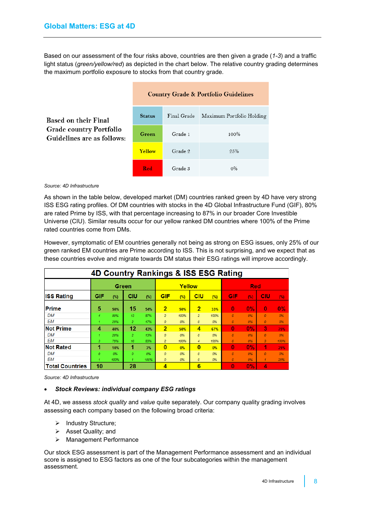Based on our assessment of the four risks above, countries are then given a grade (*1-3*) and a traffic light status (*green/yellow/red*) as depicted in the chart below. The relative country grading determines the maximum portfolio exposure to stocks from that country grade.

|                                                              | <b>Country Grade &amp; Portfolio Guidelines</b> |         |                                       |  |  |  |  |  |
|--------------------------------------------------------------|-------------------------------------------------|---------|---------------------------------------|--|--|--|--|--|
| <b>Based on their Final</b>                                  | <b>Status</b>                                   |         | Final Grade Maximum Portfolio Holding |  |  |  |  |  |
| <b>Grade country Portfolio</b><br>Guidelines are as follows: | Green                                           | Grade 1 | 100%                                  |  |  |  |  |  |
|                                                              | <b>Yellow</b>                                   | Grade 2 | $9.5\%$                               |  |  |  |  |  |
|                                                              | <b>Red</b>                                      | Grade 3 | $0\%$                                 |  |  |  |  |  |

#### *Source: 4D Infrastructure*

As shown in the table below, developed market (DM) countries ranked green by 4D have very strong ISS ESG rating profiles. Of DM countries with stocks in the 4D Global Infrastructure Fund (GIF), 80% are rated Prime by ISS, with that percentage increasing to 87% in our broader Core Investible Universe (CIU). Similar results occur for our yellow ranked DM countries where 100% of the Prime rated countries come from DMs.

However, symptomatic of EM countries generally not being as strong on ESG issues, only 25% of our green ranked EM countries are Prime according to ISS. This is not surprising, and we expect that as these countries evolve and migrate towards DM status their ESG ratings will improve accordingly.

| <b>4D Country Rankings &amp; ISS ESG Rating</b> |     |      |                |      |                  |      |                |      |            |       |                  |      |
|-------------------------------------------------|-----|------|----------------|------|------------------|------|----------------|------|------------|-------|------------------|------|
|                                                 |     |      | Green          |      | Yellow           |      |                |      | <b>Red</b> |       |                  |      |
| <b>ISS Rating</b>                               | GIF | (%)  | CIU            | (%)  | <b>GIF</b>       | (%)  | <b>CIU</b>     | (%)  | <b>GIF</b> | (% )  | CIU              | (% ) |
| <b>Prime</b>                                    | 5   | 50%  | 15             | 54%  | 2                | 50%  | $\overline{2}$ | 33%  | $\bf{0}$   | 0%    | $\bf{0}$         | 0%   |
| DM                                              | 4   | 80%  | 13             | 87%  | $\overline{2}$   | 100% | $\overline{2}$ | 100% | o          | 0%    | $\boldsymbol{0}$ | 0%   |
| <b>EM</b>                                       |     | 25%  | $\overline{2}$ | 17%  | 0                | 0%   | 0              | 0%   | 0          | 0%    | 0                | 0%   |
| <b>Not Prime</b>                                | 4   | 40%  | 12             | 43%  | $\overline{2}$   | 50%  | 4              | 67%  | 0          | 0%    | 3                | 75%  |
| DM                                              |     | 20%  | $\overline{2}$ | 13%  | $\boldsymbol{0}$ | 0%   | 0              | 0%   | n          | 0%    | Ō                | 0%   |
| EM                                              | 3   | 75%  | 10             | 83%  | $\overline{2}$   | 100% | 4              | 100% | 0          | 0%    | 3                | 100% |
| <b>Not Rated</b>                                | 1   | 10%  | 1              | 3%   | $\bf{0}$         | 0%   | $\bf{0}$       | 0%   | 0          | 0%    | ď                | 25%  |
| <b>DM</b>                                       | n.  | 0%   | $\Omega$       | 0%   | 0                | 0%   | $\Omega$       | 0%   | o          | 0%    | Ō.               | 0%   |
| EΜ                                              |     | 100% |                | 100% | 0                | 0%   | 0              | 0%   | 0          | 0%    |                  | 25%  |
| <b>Total Countries</b>                          | 10  |      | 28             |      | 4                |      | 6              |      | 0          | $0\%$ | 4                |      |

*Source: 4D Infrastructure*

#### <span id="page-7-0"></span>• *Stock Reviews: individual company ESG ratings*

At 4D, we assess *stock quality* and *value* quite separately. Our company quality grading involves assessing each company based on the following broad criteria:

- > Industry Structure;
- $\triangleright$  Asset Quality; and
- Management Performance

Our stock ESG assessment is part of the Management Performance assessment and an individual score is assigned to ESG factors as one of the four subcategories within the management assessment.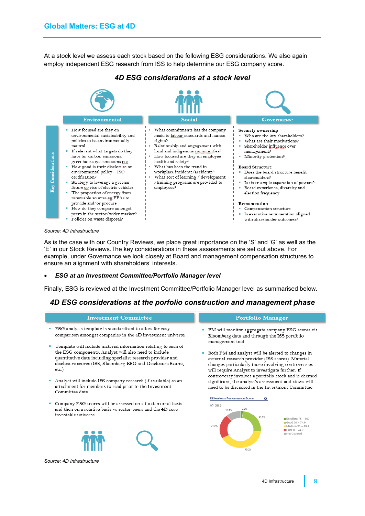At a stock level we assess each stock based on the following ESG considerations. We also again employ independent ESG research from ISS to help determine our ESG company score.



### *4D ESG considerations at a stock level*

*Source: 4D Infrastructure*

As is the case with our Country Reviews, we place great importance on the 'S' and 'G' as well as the 'E' in our Stock Reviews.The key considerations in these assessments are set out above. For example, under Governance we look closely at Board and management compensation structures to ensure an alignment with shareholders' interests.

#### <span id="page-8-0"></span>• *ESG at an Investment Committee/Portfolio Manager level*

Finally, ESG is reviewed at the Investment Committee/Portfolio Manager level as summarised below.

## *4D ESG considerations at the porfolio construction and management phase*

#### **Investment Committee Portfolio Manager** ESG analysis template is standardized to allow for easy PM will monitor aggregate company ESG scores via comparison amongst companies in the 4D investment universe Bloomberg data and through the ISS portfolio management tool Template will include material information relating to each of the ESG components. Analyst will also need to include Both PM and analyst will be alerted to changes in quantitative data including specialist research provider and external research provider (ISS scores). Material disclosure scores (ISS, Bloomberg ESG and Disclosure Scores, changes particularly those involving controversies  $etc.$ ) will require Analyst to investigate further. If controversy involves a portfolio stock and is deemed Analyst will include ISS company research (if available) as an significant, the analyst's assessment and views will attachment for members to read prior to the Investment need to be discussed in the Investment Committee Committee date **ISS-oekom Performance Score**  $\bf{0}$ Company ESG scores will be assessed on a fundamental basis Ø 38.3 and then on a relative basis vs sector peers and the 4D core  $2.2%$ investable universe 24.6% Excellent  $75 - 100$ Good 50 - 74.9 Medium  $25 - 49.9$ <br>
Poor 0 – 24.9<br>
Mot Covered 21.2% 40.2% *Source: 4D Infrastructure*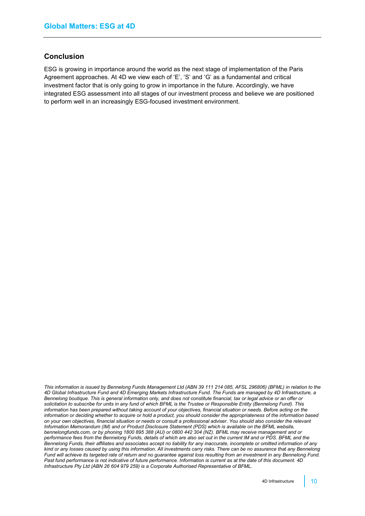## <span id="page-9-0"></span>**Conclusion**

ESG is growing in importance around the world as the next stage of implementation of the Paris Agreement approaches. At 4D we view each of 'E', 'S' and 'G' as a fundamental and critical investment factor that is only going to grow in importance in the future. Accordingly, we have integrated ESG assessment into all stages of our investment process and believe we are positioned to perform well in an increasingly ESG-focused investment environment.

*This information is issued by Bennelong Funds Management Ltd (ABN 39 111 214 085, AFSL 296806) (BFML) in relation to the 4D Global Infrastructure Fund and 4D Emerging Markets Infrastructure Fund. The Funds are managed by 4D Infrastructure, a Bennelong boutique. This is general information only, and does not constitute financial, tax or legal advice or an offer or solicitation to subscribe for units in any fund of which BFML is the Trustee or Responsible Entity (Bennelong Fund). This information has been prepared without taking account of your objectives, financial situation or needs. Before acting on the information or deciding whether to acquire or hold a product, you should consider the appropriateness of the information based on your own objectives, financial situation or needs or consult a professional adviser. You should also consider the relevant Information Memorandum (IM) and or Product Disclosure Statement (PDS) which is available on the BFML website, bennelongfunds.com, or by phoning 1800 895 388 (AU) or 0800 442 304 (NZ). BFML may receive management and or performance fees from the Bennelong Funds, details of which are also set out in the current IM and or PDS. BFML and the Bennelong Funds, their affiliates and associates accept no liability for any inaccurate, incomplete or omitted information of any kind or any losses caused by using this information. All investments carry risks. There can be no assurance that any Bennelong Fund will achieve its targeted rate of return and no guarantee against loss resulting from an investment in any Bennelong Fund.*  Past fund performance is not indicative of future performance. Information is current as at the date of this document. 4D *Infrastructure Pty Ltd (ABN 26 604 979 259) is a Corporate Authorised Representative of BFML.*